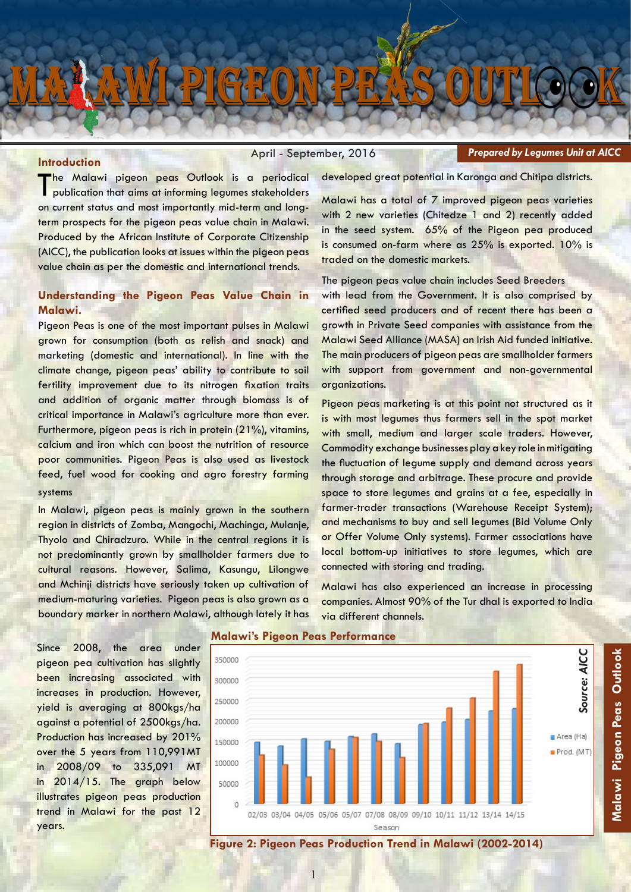

#### **Introduction**

April - September, 2016

*Prepared by Legumes Unit at AICC*

The Malawi pigeon peas Outlook is a periodical<br>publication that aims at informing legumes stakeholders on current status and most importantly mid-term and longterm prospects for the pigeon peas value chain in Malawi. Produced by the African Institute of Corporate Citizenship (AICC), the publication looks at issues within the pigeon peas value chain as per the domestic and international trends.

## **Understanding the Pigeon Peas Value Chain in Malawi.**

Pigeon Peas is one of the most important pulses in Malawi grown for consumption (both as relish and snack) and marketing (domestic and international). In line with the climate change, pigeon peas' ability to contribute to soil fertility improvement due to its nitrogen fixation traits and addition of organic matter through biomass is of critical importance in Malawi's agriculture more than ever. Furthermore, pigeon peas is rich in protein (21%), vitamins, calcium and iron which can boost the nutrition of resource poor communities. Pigeon Peas is also used as livestock feed, fuel wood for cooking and agro forestry farming systems

In Malawi, pigeon peas is mainly grown in the southern region in districts of Zomba, Mangochi, Machinga, Mulanje, Thyolo and Chiradzuro. While in the central regions it is not predominantly grown by smallholder farmers due to cultural reasons. However, Salima, Kasungu, Lilongwe and Mchinji districts have seriously taken up cultivation of medium-maturing varieties. Pigeon peas is also grown as a boundary marker in northern Malawi, although lately it has developed great potential in Karonga and Chitipa districts.

Malawi has a total of 7 improved pigeon peas varieties with 2 new varieties (Chitedze 1 and 2) recently added in the seed system. 65% of the Pigeon pea produced is consumed on-farm where as 25% is exported. 10% is traded on the domestic markets.

The pigeon peas value chain includes Seed Breeders with lead from the Government. It is also comprised by certified seed producers and of recent there has been a growth in Private Seed companies with assistance from the Malawi Seed Alliance (MASA) an Irish Aid funded initiative. The main producers of pigeon peas are smallholder farmers with support from government and non-governmental organizations.

Pigeon peas marketing is at this point not structured as it is with most legumes thus farmers sell in the spot market with small, medium and larger scale traders. However, Commodity exchange businesses play a key role in mitigating the fluctuation of legume supply and demand across years through storage and arbitrage. These procure and provide space to store legumes and grains at a fee, especially in farmer-trader transactions (Warehouse Receipt System); and mechanisms to buy and sell legumes (Bid Volume Only or Offer Volume Only systems). Farmer associations have local bottom-up initiatives to store legumes, which are connected with storing and trading.

Malawi has also experienced an increase in processing companies. Almost 90% of the Tur dhal is exported to India via different channels.

Since 2008, the area under pigeon pea cultivation has slightly been increasing associated with increases in production. However, yield is averaging at 800kgs/ha against a potential of 2500kgs/ha. Production has increased by 201% over the 5 years from 110,991MT in 2008/09 to 335,091 MT in 2014/15. The graph below illustrates pigeon peas production trend in Malawi for the past 12 years.

#### **Malawi's Pigeon Peas Performance**



**Figure 2: Pigeon Peas Production Trend in Malawi (2002-2014)**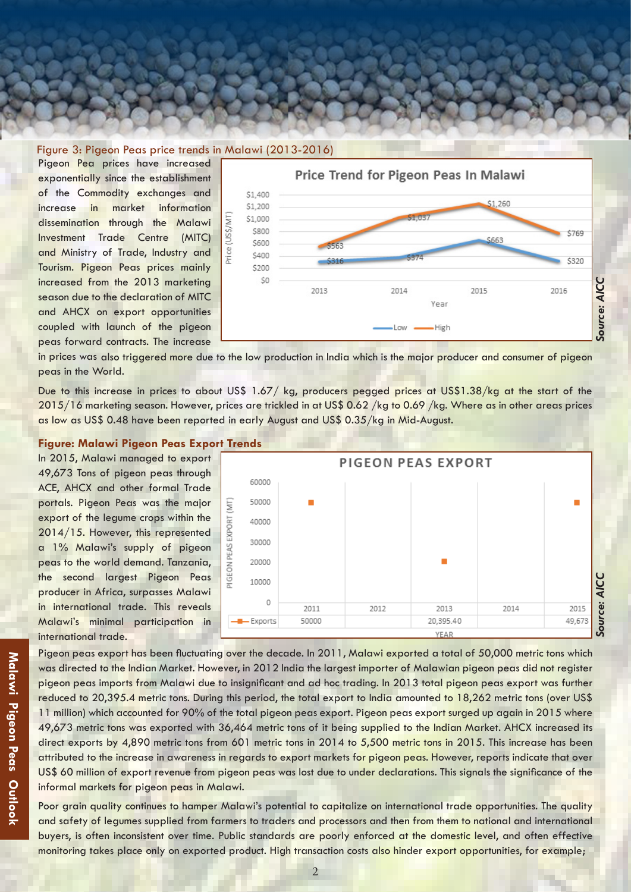### Figure 3: Pigeon Peas price trends in Malawi (2013-2016)

Pigeon Pea prices have increased exponentially since the establishment of the Commodity exchanges and increase in market information dissemination through the Malawi Investment Trade Centre (MITC) and Ministry of Trade, Industry and Tourism. Pigeon Peas prices mainly increased from the 2013 marketing season due to the declaration of MITC and AHCX on export opportunities coupled with launch of the pigeon peas forward contracts. The increase



 peas in the World. in prices was also triggered more due to the low production in India which is the major producer and consumer of pigeon

 Due to this increase in prices to about US\$ 1.67/ kg, producers pegged prices at US\$1.38/kg at the start of the  $2015/16$  marketing season. However, prices are trickled in at US\$ 0.62 /kg to 0.69 /kg. Where as in other areas prices as low as US\$ 0.48 have been reported in early August and US\$ 0.35/kg in Mid-August.

### **Figure: Malawi Pigeon Peas Export Trends**

In 2015, Malawi managed to export 49,673 Tons of pigeon peas through ACE, AHCX and other formal Trade portals. Pigeon Peas was the major export of the legume crops within the 2014/15. However, this represented a 1% Malawi's supply of pigeon peas to the world demand. Tanzania, the second largest Pigeon Peas producer in Africa, surpasses Malawi in international trade. This reveals Malawi's minimal participation in international trade.



Pigeon peas export has been fluctuating over the decade. In 2011, Malawi exported a total of 50,000 metric tons which was directed to the Indian Market. However, in 2012 India the largest importer of Malawian pigeon peas did not register pigeon peas imports from Malawi due to insignificant and ad hoc trading. In 2013 total pigeon peas export was further reduced to 20,395.4 metric tons. During this period, the total export to India amounted to 18,262 metric tons (over US\$ 11 million) which accounted for 90% of the total pigeon peas export. Pigeon peas export surged up again in 2015 where 49,673 metric tons was exported with 36,464 metric tons of it being supplied to the Indian Market. AHCX increased its direct exports by 4,890 metric tons from 601 metric tons in 2014 to 5,500 metric tons in 2015. This increase has been attributed to the increase in awareness in regards to export markets for pigeon peas. However, reports indicate that over US\$ 60 million of export revenue from pigeon peas was lost due to under declarations. This signals the significance of the informal markets for pigeon peas in Malawi.

Poor grain quality continues to hamper Malawi's potential to capitalize on international trade opportunities. The quality and safety of legumes supplied from farmers to traders and processors and then from them to national and international buyers, is often inconsistent over time. Public standards are poorly enforced at the domestic level, and often effective monitoring takes place only on exported product. High transaction costs also hinder export opportunities, for example;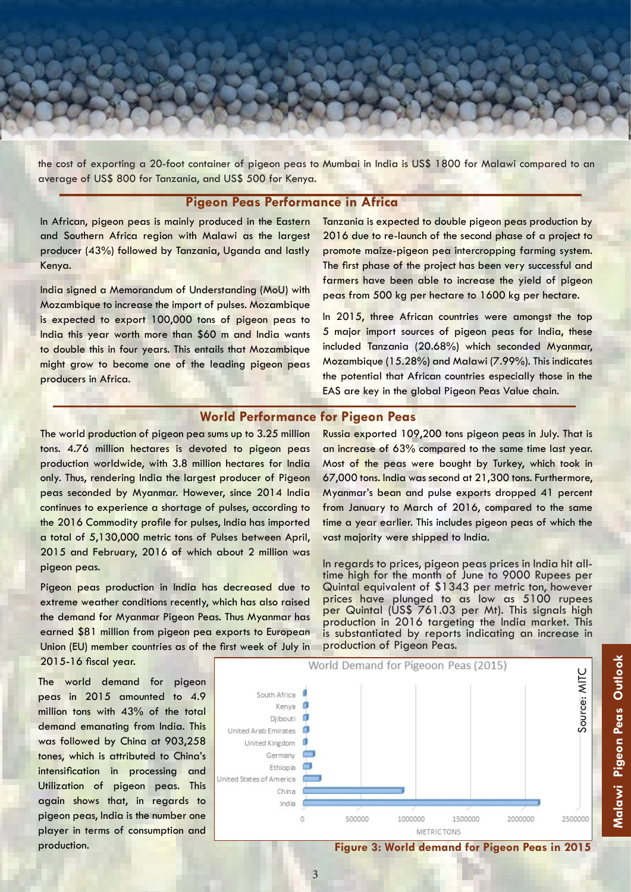the cost of exporting a 20-foot container of pigeon peas to Mumbai in India is US\$ 1800 for Malawi compared to an average of US\$ 800 for Tanzania, and US\$ 500 for Kenya.

### **Pigeon Peas Performance in Africa**

In African, pigeon peas is mainly produced in the Eastern and Southern Africa region with Malawi as the largest producer (43%) followed by Tanzania, Uganda and lastly Kenya.

India signed a Memorandum of Understanding (MoU) with Mozambique to increase the import of pulses. Mozambique is expected to export 100,000 tons of pigeon peas to India this year worth more than \$60 m and India wants to double this in four years. This entails that Mozambique might grow to become one of the leading pigeon peas producers in Africa.

Tanzania is expected to double pigeon peas production by 2016 due to re-launch of the second phase of a project to promote maize-pigeon pea intercropping farming system. The first phase of the project has been very successful and farmers have been able to increase the yield of pigeon peas from 500 kg per hectare to 1600 kg per hectare.

In 2015, three African countries were amongst the top 5 major import sources of pigeon peas for India, these included Tanzania (20.68%) which seconded Myanmar, Mozambique (15.28%) and Malawi (7.99%). This indicates the potential that African countries especially those in the EAS are key in the global Pigeon Peas Value chain.

Russia exported 109,200 tons pigeon peas in July. That is an increase of 63% compared to the same time last year. Most of the peas were bought by Turkey, which took in 67,000 tons. India was second at 21,300 tons. Furthermore, Myanmar's bean and pulse exports dropped 41 percent from January to March of 2016, compared to the same time a year earlier. This includes pigeon peas of which the

In regards to prices, pigeon peas prices in India hit alltime high for the month of June to 9000 Rupees per Quintal equivalent of \$1343 per metric ton, however prices have plunged to as low as 5100 rupees per Quintal (US\$ 761.03 per Mt). This signals high production in 2016 targeting the India market. This is substantiated by reports indicating an increase in

# **World Performance for Pigeon Peas**

The world production of pigeon pea sums up to 3.25 million tons. 4.76 million hectares is devoted to pigeon peas production worldwide, with 3.8 million hectares for India only. Thus, rendering India the largest producer of Pigeon peas seconded by Myanmar. However, since 2014 India continues to experience a shortage of pulses, according to the 2016 Commodity profile for pulses, India has imported a total of 5,130,000 metric tons of Pulses between April, 2015 and February, 2016 of which about 2 million was pigeon peas.

Pigeon peas production in India has decreased due to extreme weather conditions recently, which has also raised the demand for Myanmar Pigeon Peas. Thus Myanmar has earned \$81 million from pigeon pea exports to European Union (EU) member countries as of the first week of July in 2015-16 fiscal year.

The world demand for pigeon peas in 2015 amounted to 4.9 million tons with 43% of the total demand emanating from India. This was followed by China at 903,258 tones, which is attributed to China's intensification in processing and Utilization of pigeon peas. This again shows that, in regards to pigeon peas, India is the number one player in terms of consumption and



production of Pigeon Peas.

vast majority were shipped to India.